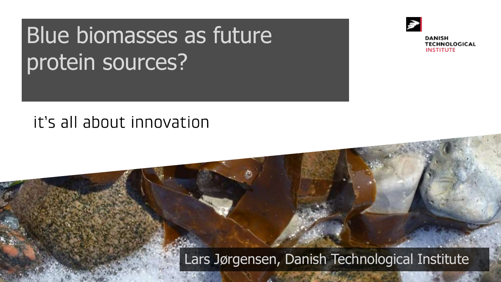# Blue biomasses as future protein sources?



DANISH **TECHNOLOGICAL INSTITUTE** 

#### it's all about innovation

#### Lars Jørgensen, Danish Technological Institute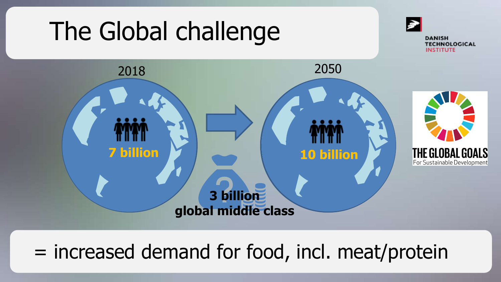

#### = increased demand for food, incl. meat/protein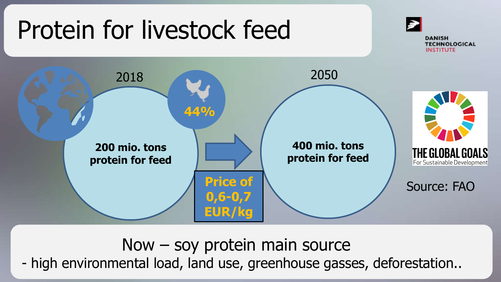#### ☞ Protein for livestock feed **DANISH TECHNOLOGICAL INSTITUTE** 2018 2050 **44% 400 mio. tons 200 mio. tons**  THE GLOBAL GOALS **protein for feed protein for feed**  For Sustainable Development **Price of**  Source: FAO **0,6-0,7 EUR/kg**

Now – soy protein main source - high environmental load, land use, greenhouse gasses, deforestation..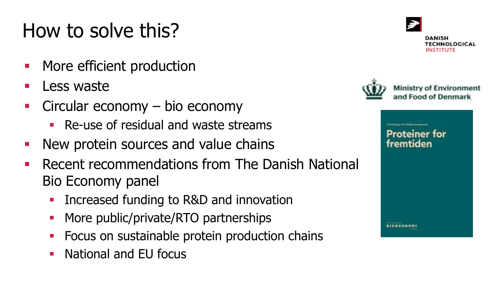## How to solve this?

- **■** More efficient production
- **E** Less waste
- Circular economy bio economy
	- Re-use of residual and waste streams
- **New protein sources and value chains**
- **EXECTE Recent recommendations from The Danish National** Bio Economy panel
	- **EXECUTE:** Increased funding to R&D and innovation
	- **More public/private/RTO partnerships**
	- **Focus on sustainable protein production chains**
	- National and FU focus



DANISH **TECHNOLOGICAL** ISTITUTE



Proteiner fremtiden

**BIODKONOMI**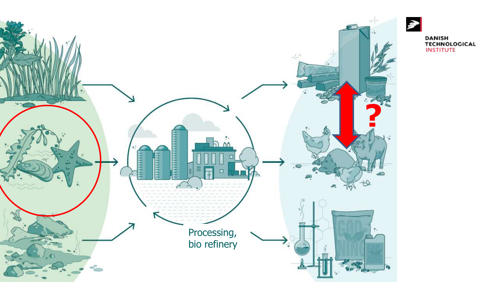

# DANISH<br>TECHNOLOGICAL<br><mark>INSTITUT</mark>E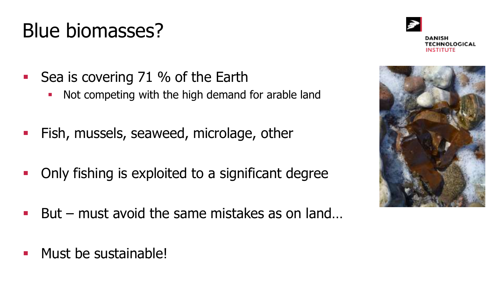## Blue biomasses?

DANISH **FECHNOLOGICAL** 

- Sea is covering 71 % of the Earth
	- Not competing with the high demand for arable land
- **•** Fish, mussels, seaweed, microlage, other
- **Only fishing is exploited to a significant degree**
- But must avoid the same mistakes as on land...



**E** Must be sustainable!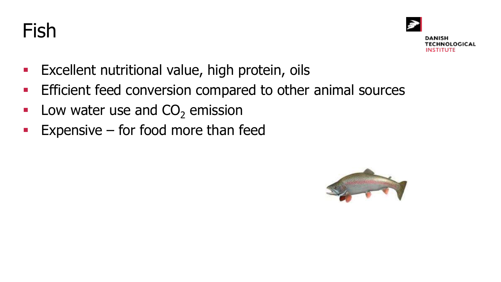



DANISH **TECHNOLOGICAL** NSTITUTE

- **Excellent nutritional value, high protein, oils**
- **Efficient feed conversion compared to other animal sources**
- **•** Low water use and  $CO<sub>2</sub>$  emission
- **Expensive for food more than feed**

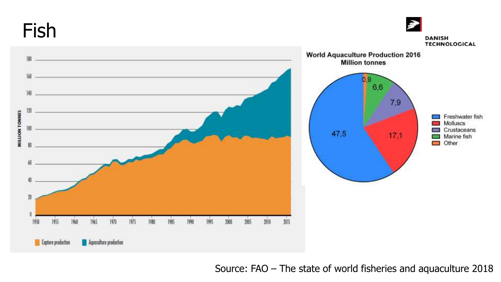Fish





Source: FAO – The state of world fisheries and aquaculture 2018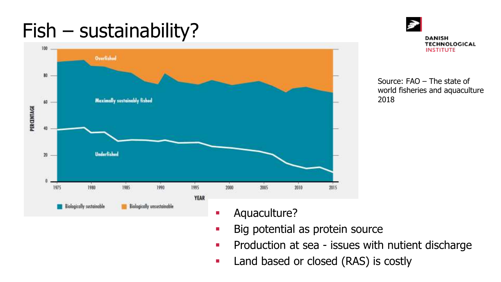## Fish – sustainability?



**DANISH TECHNOLOGICAL INSTITUTE** 

Source: FAO – The state of world fisheries and aquaculture 2018

- **■** Aquaculture?
- **EXECUTE:** Big potential as protein source
- **Production at sea issues with nutient discharge**
- Land based or closed (RAS) is costly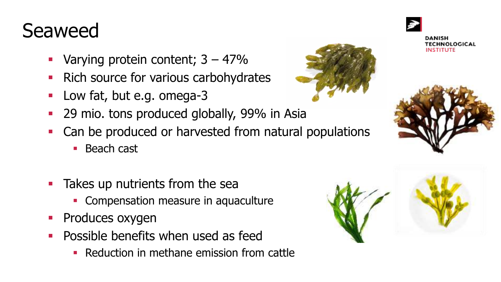#### **Seaweed**

- **•** Varying protein content;  $3 47\%$
- Rich source for various carbohydrates
- Low fat, but e.g. omega-3
- 29 mio. tons produced globally, 99% in Asia
- Can be produced or harvested from natural populations
	- Beach cast
- **Takes up nutrients from the sea** 
	- **Compensation measure in aquaculture**
- **•** Produces oxygen
- **Possible benefits when used as feed** 
	- **Reduction in methane emission from cattle**







DANISH **TECHNOLOGICAL** 

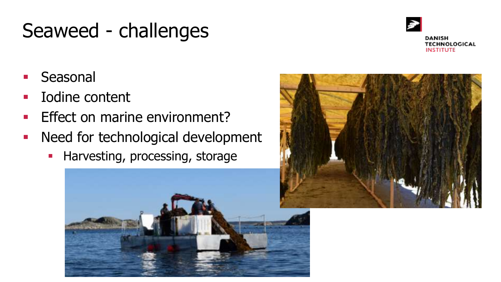#### Seaweed - challenges



DANISH **TECHNOLOGICAL INSTITUTE** 

- **E** Seasonal
- Iodine content
- **Effect on marine environment?**
- Need for technological development
	- **EXEC** Harvesting, processing, storage



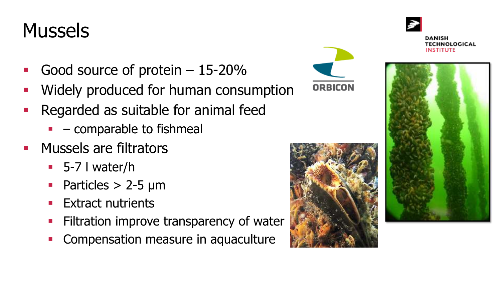#### **Mussels**

- **Good source of protein**  $-15-20\%$
- Widely produced for human consumption
- Regarded as suitable for animal feed
	- $\bullet$  comparable to fishmeal
- **E** Mussels are filtrators
	- $\blacksquare$  5-7 l water/h
	- **•** Particles  $> 2-5 \mu m$
	- **Extract nutrients**
	- **·** Filtration improve transparency of water
	- **Compensation measure in aquaculture**



NSTITUTE

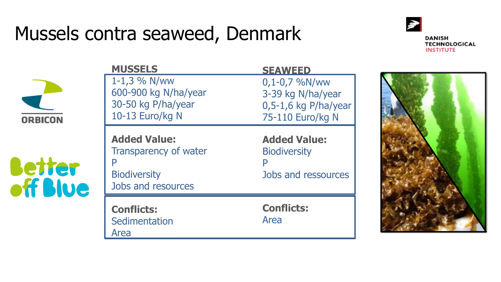#### Mussels contra seaweed, Denmark

**MUSSELS**



|                                             | <b>MUSSELS</b>                                                                            | <b>SEAWEED</b>                                                                       |  |
|---------------------------------------------|-------------------------------------------------------------------------------------------|--------------------------------------------------------------------------------------|--|
| <b>ORBICON</b><br>Jetter<br><b>off Blue</b> | 1-1,3 % N/ww<br>600-900 kg N/ha/year<br>30-50 kg P/ha/year<br>10-13 Euro/kg N             | $0,1-0,7$ %N/ww<br>3-39 kg N/ha/year<br>$0.5 - 1.6$ kg P/ha/year<br>75-110 Euro/kg N |  |
|                                             | <b>Added Value:</b><br>Transparency of water<br><b>Biodiversity</b><br>Jobs and resources | <b>Added Value:</b><br><b>Biodiversity</b><br>Jobs and ressources                    |  |
|                                             | <b>Conflicts:</b><br>Sedimentation<br>Area                                                | <b>Conflicts:</b><br>Area                                                            |  |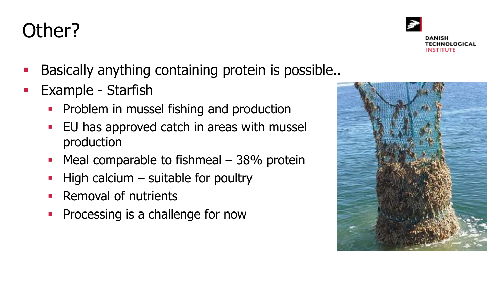- **Basically anything containing protein is possible..**
- Example Starfish
	- **Problem in mussel fishing and production**
	- EU has approved catch in areas with mussel production
	- $\blacksquare$  Meal comparable to fishmeal  $-$  38% protein
	- $\blacksquare$  High calcium suitable for poultry
	- Removal of nutrients
	- **Processing is a challenge for now**





**NSTITUTE** 

#### Other?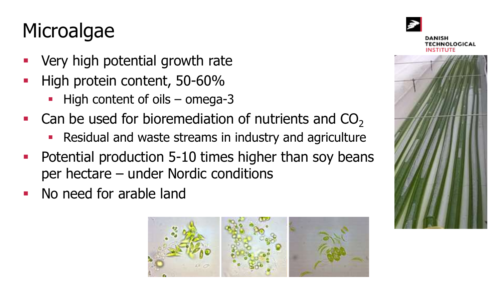## **Microalgae**

- Very high potential growth rate
- High protein content, 50-60%
	- High content of oils omega-3
- $\blacksquare$  Can be used for bioremediation of nutrients and CO<sub>2</sub>
	- **Residual and waste streams in industry and agriculture**
- **Potential production 5-10 times higher than soy beans** per hectare – under Nordic conditions
- No need for arable land





DANISH **TECHNOLOGICAL** 

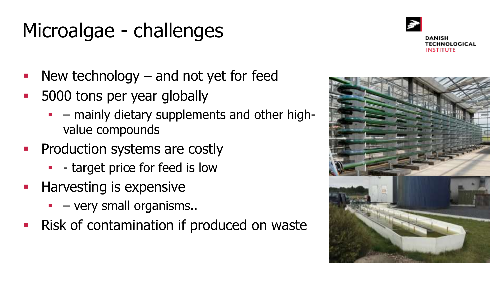#### Microalgae - challenges



- New technology  $-$  and not yet for feed
- 5000 tons per year globally
	- $\blacksquare$  mainly dietary supplements and other highvalue compounds
- **Production systems are costly** 
	- **•** target price for feed is low
- **EXECUTE:** Harvesting is expensive
	- $\blacksquare$  very small organisms..
- **EXEL Risk of contamination if produced on wastelly**